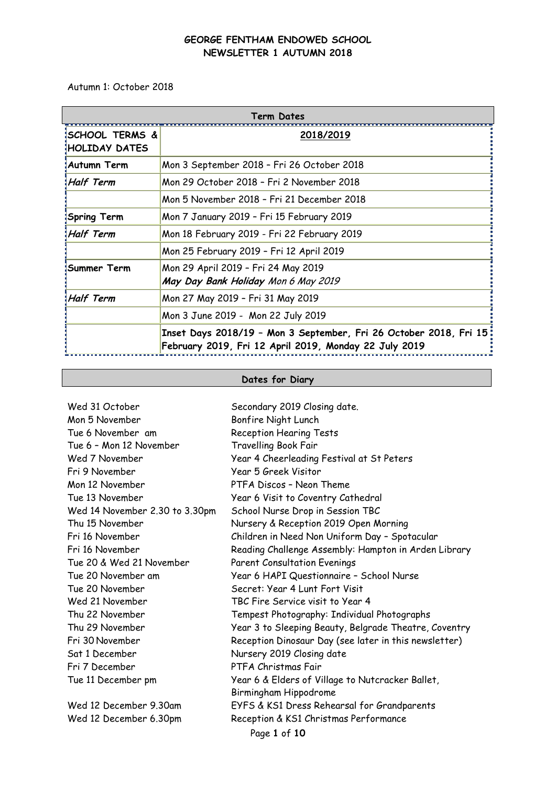Autumn 1: October 2018

| Term Dates                       |                                                                                                                             |  |  |
|----------------------------------|-----------------------------------------------------------------------------------------------------------------------------|--|--|
| ISCHOOL TERMS &<br>HOLIDAY DATES | 2018/2019                                                                                                                   |  |  |
| ‡Autumn Term                     | Mon 3 September 2018 - Fri 26 October 2018                                                                                  |  |  |
| Half Term!                       | Mon 29 October 2018 - Fri 2 November 2018                                                                                   |  |  |
|                                  | Mon 5 November 2018 - Fri 21 December 2018                                                                                  |  |  |
| <b>Spring Term</b>               | Mon 7 January 2019 - Fri 15 February 2019                                                                                   |  |  |
| Half Term!                       | Mon 18 February 2019 - Fri 22 February 2019                                                                                 |  |  |
|                                  | Mon 25 February 2019 - Fri 12 April 2019                                                                                    |  |  |
| ¦Summer Term                     | Mon 29 April 2019 - Fri 24 May 2019<br>May Day Bank Holiday Mon 6 May 2019                                                  |  |  |
| Half Term                        | Mon 27 May 2019 - Fri 31 May 2019                                                                                           |  |  |
|                                  | Mon 3 June 2019 - Mon 22 July 2019                                                                                          |  |  |
|                                  | Inset Days 2018/19 - Mon 3 September, Fri 26 October 2018, Fri 15:<br>February 2019, Fri 12 April 2019, Monday 22 July 2019 |  |  |

# **Dates for Diary**

| Wed 31 October                 | Secondary 2019 Closing date.                          |  |  |  |
|--------------------------------|-------------------------------------------------------|--|--|--|
| Mon 5 November                 | Bonfire Night Lunch                                   |  |  |  |
| Tue 6 November am              | <b>Reception Hearing Tests</b>                        |  |  |  |
| Tue 6 - Mon 12 November        | <b>Travelling Book Fair</b>                           |  |  |  |
| Wed 7 November                 | Year 4 Cheerleading Festival at St Peters             |  |  |  |
| Fri 9 November                 | Year 5 Greek Visitor                                  |  |  |  |
| Mon 12 November                | PTFA Discos - Neon Theme                              |  |  |  |
| Tue 13 November                | Year 6 Visit to Coventry Cathedral                    |  |  |  |
| Wed 14 November 2.30 to 3.30pm | School Nurse Drop in Session TBC                      |  |  |  |
| Thu 15 November                | Nursery & Reception 2019 Open Morning                 |  |  |  |
| Fri 16 November                | Children in Need Non Uniform Day - Spotacular         |  |  |  |
| Fri 16 November                | Reading Challenge Assembly: Hampton in Arden Library  |  |  |  |
| Tue 20 & Wed 21 November       | <b>Parent Consultation Evenings</b>                   |  |  |  |
| Tue 20 November am             | Year 6 HAPI Questionnaire - School Nurse              |  |  |  |
| Tue 20 November                | Secret: Year 4 Lunt Fort Visit                        |  |  |  |
| Wed 21 November                | TBC Fire Service visit to Year 4                      |  |  |  |
| Thu 22 November                | Tempest Photography: Individual Photographs           |  |  |  |
| Thu 29 November                | Year 3 to Sleeping Beauty, Belgrade Theatre, Coventry |  |  |  |
| Fri 30 November                | Reception Dinosaur Day (see later in this newsletter) |  |  |  |
| Sat 1 December                 | Nursery 2019 Closing date                             |  |  |  |
| Fri 7 December                 | PTFA Christmas Fair                                   |  |  |  |
| Tue 11 December pm             | Year 6 & Elders of Village to Nutcracker Ballet,      |  |  |  |
|                                | Birmingham Hippodrome                                 |  |  |  |
| Wed 12 December 9.30am         | EYFS & KS1 Dress Rehearsal for Grandparents           |  |  |  |
| Wed 12 December 6.30pm         | Reception & KS1 Christmas Performance                 |  |  |  |
| Page 1 of 10                   |                                                       |  |  |  |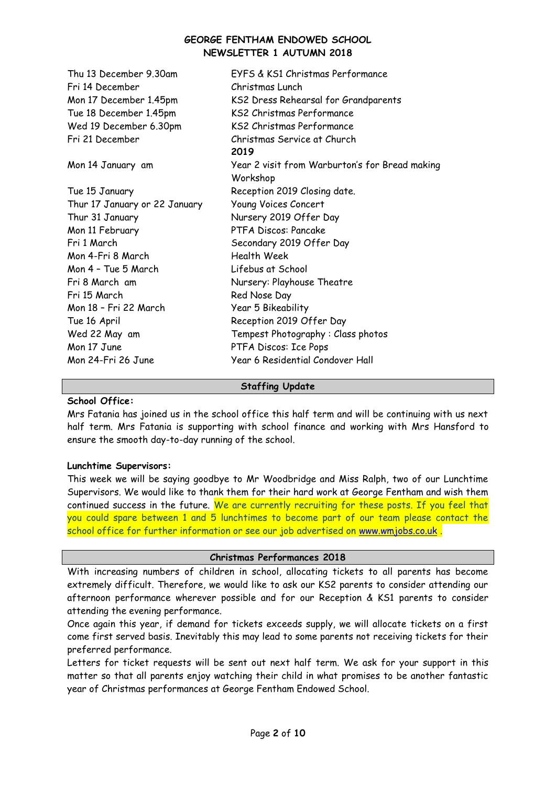| Thu 13 December 9.30am<br>Fri 14 December | EYFS & KS1 Christmas Performance<br>Christmas Lunch               |
|-------------------------------------------|-------------------------------------------------------------------|
|                                           |                                                                   |
| Mon 17 December 1.45pm                    | KS2 Dress Rehearsal for Grandparents<br>KS2 Christmas Performance |
| Tue 18 December 1.45pm                    |                                                                   |
| Wed 19 December 6.30pm                    | KS2 Christmas Performance                                         |
| Fri 21 December                           | Christmas Service at Church                                       |
|                                           | 2019                                                              |
| Mon 14 January am                         | Year 2 visit from Warburton's for Bread making                    |
|                                           | Workshop                                                          |
| Tue 15 January                            | Reception 2019 Closing date.                                      |
| Thur 17 January or 22 January             | Young Voices Concert                                              |
| Thur 31 January                           | Nursery 2019 Offer Day                                            |
| Mon 11 February                           | PTFA Discos: Pancake                                              |
| Fri 1 March                               | Secondary 2019 Offer Day                                          |
| Mon 4-Fri 8 March                         | Health Week                                                       |
| Mon 4 - Tue 5 March                       | Lifebus at School                                                 |
| Fri 8 March am                            | Nursery: Playhouse Theatre                                        |
| Fri 15 March                              | Red Nose Day                                                      |
| Mon 18 - Fri 22 March                     | Year 5 Bikeability                                                |
| Tue 16 April                              | Reception 2019 Offer Day                                          |
| Wed 22 May am                             | Tempest Photography: Class photos                                 |
| Mon 17 June                               | PTFA Discos: Ice Pops                                             |
| Mon 24-Fri 26 June                        | Year 6 Residential Condover Hall                                  |
|                                           |                                                                   |

#### **Staffing Update**

## **School Office:**

Mrs Fatania has joined us in the school office this half term and will be continuing with us next half term. Mrs Fatania is supporting with school finance and working with Mrs Hansford to ensure the smooth day-to-day running of the school.

### **Lunchtime Supervisors:**

This week we will be saying goodbye to Mr Woodbridge and Miss Ralph, two of our Lunchtime Supervisors. We would like to thank them for their hard work at George Fentham and wish them continued success in the future. We are currently recruiting for these posts. If you feel that you could spare between 1 and 5 lunchtimes to become part of our team please contact the school office for further information or see our job advertised on [www.wmjobs.co.uk](http://www.wmjobs.co.uk/) .

### **Christmas Performances 2018**

With increasing numbers of children in school, allocating tickets to all parents has become extremely difficult. Therefore, we would like to ask our KS2 parents to consider attending our afternoon performance wherever possible and for our Reception & KS1 parents to consider attending the evening performance.

Once again this year, if demand for tickets exceeds supply, we will allocate tickets on a first come first served basis. Inevitably this may lead to some parents not receiving tickets for their preferred performance.

Letters for ticket requests will be sent out next half term. We ask for your support in this matter so that all parents enjoy watching their child in what promises to be another fantastic year of Christmas performances at George Fentham Endowed School.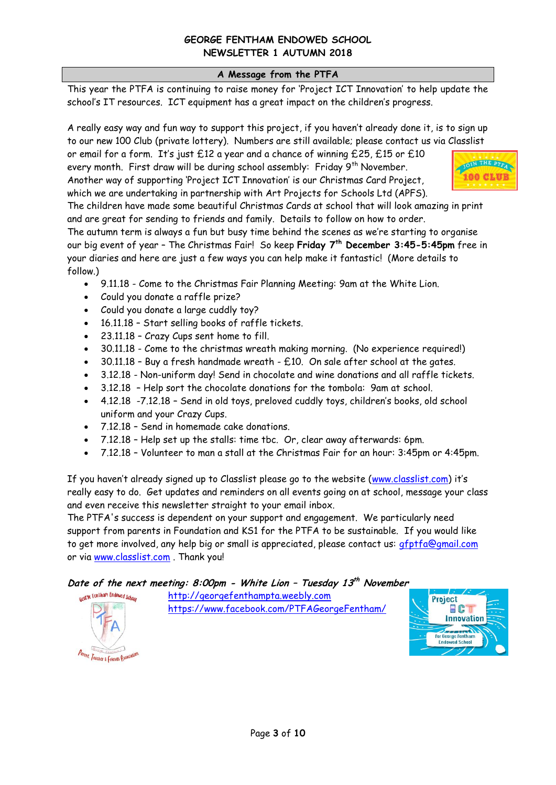## **A Message from the PTFA**

This year the PTFA is continuing to raise money for 'Project ICT Innovation' to help update the school's IT resources. ICT equipment has a great impact on the children's progress.

A really easy way and fun way to support this project, if you haven't already done it, is to sign up to our new 100 Club (private lottery). Numbers are still available; please contact us via Classlist

or email for a form. It's just  $£12$  a year and a chance of winning £25, £15 or £10 every month. First draw will be during school assembly: Friday 9<sup>th</sup> November. Another way of supporting 'Project ICT Innovation' is our Christmas Card Project, which we are undertaking in partnership with Art Projects for Schools Ltd (APFS).



The children have made some beautiful Christmas Cards at school that will look amazing in print and are great for sending to friends and family. Details to follow on how to order.

The autumn term is always a fun but busy time behind the scenes as we're starting to organise our big event of year – The Christmas Fair! So keep **Friday 7th December 3:45-5:45pm** free in your diaries and here are just a few ways you can help make it fantastic! (More details to follow.)

- 9.11.18 Come to the Christmas Fair Planning Meeting: 9am at the White Lion.
- Could you donate a raffle prize?
- Could you donate a large cuddly toy?
- 16.11.18 Start selling books of raffle tickets.
- 23.11.18 Crazy Cups sent home to fill.
- 30.11.18 Come to the christmas wreath making morning. (No experience required!)
- $\bullet$  30.11.18 Buy a fresh handmade wreath £10. On sale after school at the gates.
- 3.12.18 Non-uniform day! Send in chocolate and wine donations and all raffle tickets.
- 3.12.18 Help sort the chocolate donations for the tombola: 9am at school.
- 4.12.18 -7.12.18 Send in old toys, preloved cuddly toys, children's books, old school uniform and your Crazy Cups.
- 7.12.18 Send in homemade cake donations.
- 7.12.18 Help set up the stalls: time tbc. Or, clear away afterwards: 6pm.
- 7.12.18 Volunteer to man a stall at the Christmas Fair for an hour: 3:45pm or 4:45pm.

If you haven't already signed up to Classlist please go to the website ([www.classlist.com](http://www.classlist.com/)) it's really easy to do. Get updates and reminders on all events going on at school, message your class and even receive this newsletter straight to your email inbox.

The PTFA's success is dependent on your support and engagement. We particularly need support from parents in Foundation and KS1 for the PTFA to be sustainable. If you would like to get more involved, any help big or small is appreciated, please contact us: [gfptfa@gmail.com](mailto:gfptfa@gmail.com) or via [www.classlist.com](http://www.classlist.com/) . Thank you!

**Date of the next meeting: 8:00pm - White Lion – Tuesday 13 th November** 



[http://georgefenthampta.weebly.com](http://georgefenthampta.weebly.com/) <https://www.facebook.com/PTFAGeorgeFentham/>

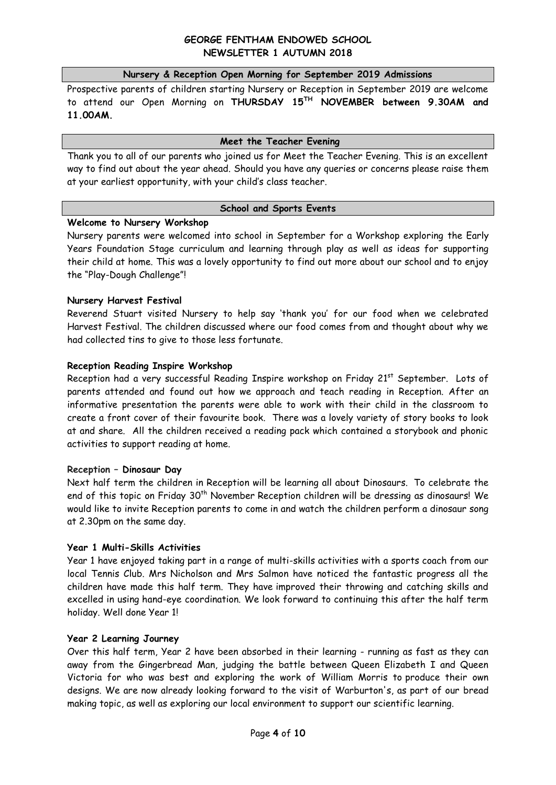#### **Nursery & Reception Open Morning for September 2019 Admissions**

Prospective parents of children starting Nursery or Reception in September 2019 are welcome to attend our Open Morning on **THURSDAY 15TH NOVEMBER between 9.30AM and 11.00AM.**

### **Meet the Teacher Evening**

Thank you to all of our parents who joined us for Meet the Teacher Evening. This is an excellent way to find out about the year ahead. Should you have any queries or concerns please raise them at your earliest opportunity, with your child's class teacher.

### **School and Sports Events**

### **Welcome to Nursery Workshop**

Nursery parents were welcomed into school in September for a Workshop exploring the Early Years Foundation Stage curriculum and learning through play as well as ideas for supporting their child at home. This was a lovely opportunity to find out more about our school and to enjoy the "Play-Dough Challenge"!

### **Nursery Harvest Festival**

Reverend Stuart visited Nursery to help say 'thank you' for our food when we celebrated Harvest Festival. The children discussed where our food comes from and thought about why we had collected tins to give to those less fortunate.

### **Reception Reading Inspire Workshop**

Reception had a very successful Reading Inspire workshop on Friday 21<sup>st</sup> September. Lots of parents attended and found out how we approach and teach reading in Reception. After an informative presentation the parents were able to work with their child in the classroom to create a front cover of their favourite book. There was a lovely variety of story books to look at and share. All the children received a reading pack which contained a storybook and phonic activities to support reading at home.

### **Reception – Dinosaur Day**

Next half term the children in Reception will be learning all about Dinosaurs. To celebrate the end of this topic on Friday 30<sup>th</sup> November Reception children will be dressing as dinosaurs! We would like to invite Reception parents to come in and watch the children perform a dinosaur song at 2.30pm on the same day.

### **Year 1 Multi-Skills Activities**

Year 1 have enjoyed taking part in a range of multi-skills activities with a sports coach from our local Tennis Club. Mrs Nicholson and Mrs Salmon have noticed the fantastic progress all the children have made this half term. They have improved their throwing and catching skills and excelled in using hand-eye coordination. We look forward to continuing this after the half term holiday. Well done Year 1!

### **Year 2 Learning Journey**

Over this half term, Year 2 have been absorbed in their learning - running as fast as they can away from the Gingerbread Man, judging the battle between Queen Elizabeth I and Queen Victoria for who was best and exploring the work of William Morris to produce their own designs. We are now already looking forward to the visit of Warburton's, as part of our bread making topic, as well as exploring our local environment to support our scientific learning.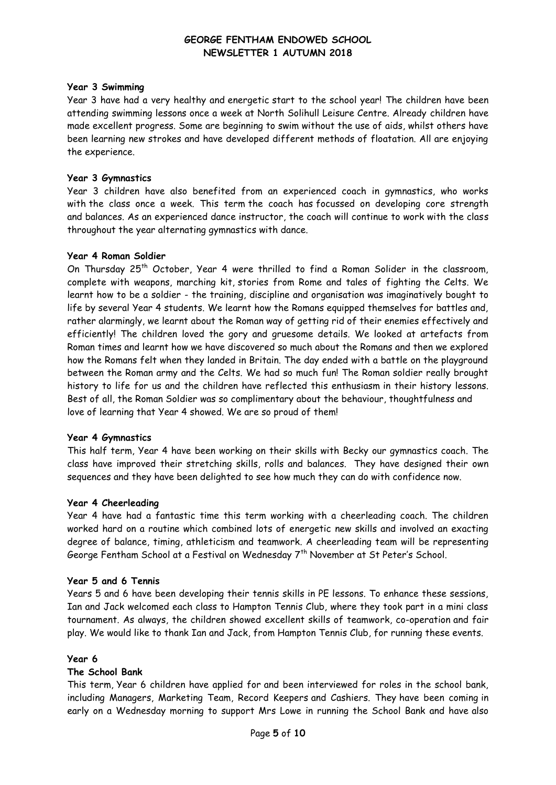### **Year 3 Swimming**

Year 3 have had a very healthy and energetic start to the school year! The children have been attending swimming lessons once a week at North Solihull Leisure Centre. Already children have made excellent progress. Some are beginning to swim without the use of aids, whilst others have been learning new strokes and have developed different methods of floatation. All are enjoying the experience.

### **Year 3 Gymnastics**

Year 3 children have also benefited from an experienced coach in gymnastics, who works with the class once a week. This term the coach has focussed on developing core strength and balances. As an experienced dance instructor, the coach will continue to work with the class throughout the year alternating gymnastics with dance.

### **Year 4 Roman Soldier**

On Thursday 25<sup>th</sup> October, Year 4 were thrilled to find a Roman Solider in the classroom, complete with weapons, marching kit, stories from Rome and tales of fighting the Celts. We learnt how to be a soldier - the training, discipline and organisation was imaginatively bought to life by several Year 4 students. We learnt how the Romans equipped themselves for battles and, rather alarmingly, we learnt about the Roman way of getting rid of their enemies effectively and efficiently! The children loved the gory and gruesome details. We looked at artefacts from Roman times and learnt how we have discovered so much about the Romans and then we explored how the Romans felt when they landed in Britain. The day ended with a battle on the playground between the Roman army and the Celts. We had so much fun! The Roman soldier really brought history to life for us and the children have reflected this enthusiasm in their history lessons. Best of all, the Roman Soldier was so complimentary about the behaviour, thoughtfulness and love of learning that Year 4 showed. We are so proud of them!

### **Year 4 Gymnastics**

This half term, Year 4 have been working on their skills with Becky our gymnastics coach. The class have improved their stretching skills, rolls and balances. They have designed their own sequences and they have been delighted to see how much they can do with confidence now.

### **Year 4 Cheerleading**

Year 4 have had a fantastic time this term working with a cheerleading coach. The children worked hard on a routine which combined lots of energetic new skills and involved an exacting degree of balance, timing, athleticism and teamwork. A cheerleading team will be representing George Fentham School at a Festival on Wednesday 7<sup>th</sup> November at St Peter's School.

### **Year 5 and 6 Tennis**

Years 5 and 6 have been developing their tennis skills in PE lessons. To enhance these sessions, Ian and Jack welcomed each class to Hampton Tennis Club, where they took part in a mini class tournament. As always, the children showed excellent skills of teamwork, co-operation and fair play. We would like to thank Ian and Jack, from Hampton Tennis Club, for running these events.

### **Year 6**

## **The School Bank**

This term, Year 6 children have applied for and been interviewed for roles in the school bank, including Managers, Marketing Team, Record Keepers and Cashiers. They have been coming in early on a Wednesday morning to support Mrs Lowe in running the School Bank and have also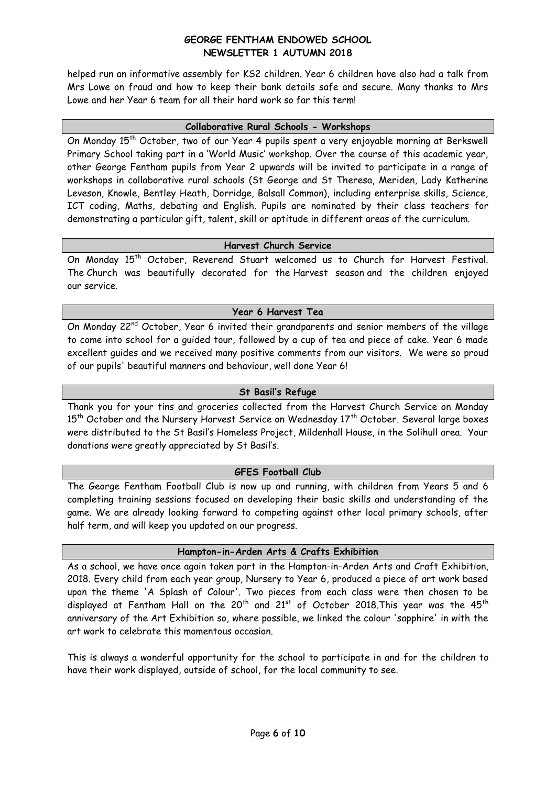helped run an informative assembly for KS2 children. Year 6 children have also had a talk from Mrs Lowe on fraud and how to keep their bank details safe and secure. Many thanks to Mrs Lowe and her Year 6 team for all their hard work so far this term!

#### **Collaborative Rural Schools - Workshops**

On Monday 15<sup>th</sup> October, two of our Year 4 pupils spent a very enjoyable morning at Berkswell Primary School taking part in a 'World Music' workshop. Over the course of this academic year, other George Fentham pupils from Year 2 upwards will be invited to participate in a range of workshops in collaborative rural schools (St George and St Theresa, Meriden, Lady Katherine Leveson, Knowle, Bentley Heath, Dorridge, Balsall Common), including enterprise skills, Science, ICT coding, Maths, debating and English. Pupils are nominated by their class teachers for demonstrating a particular gift, talent, skill or aptitude in different areas of the curriculum.

### **Harvest Church Service**

On Monday 15<sup>th</sup> October, Reverend Stuart welcomed us to Church for Harvest Festival. The Church was beautifully decorated for the Harvest season and the children enjoyed our service.

### **Year 6 Harvest Tea**

On Monday 22<sup>nd</sup> October, Year 6 invited their grandparents and senior members of the village to come into school for a guided tour, followed by a cup of tea and piece of cake. Year 6 made excellent guides and we received many positive comments from our visitors. We were so proud of our pupils' beautiful manners and behaviour, well done Year 6!

### **St Basil's Refuge**

Thank you for your tins and groceries collected from the Harvest Church Service on Monday  $15<sup>th</sup>$  October and the Nursery Harvest Service on Wednesday  $17<sup>th</sup>$  October. Several large boxes were distributed to the St Basil's Homeless Project, Mildenhall House, in the Solihull area. Your donations were greatly appreciated by St Basil's.

### **GFES Football Club**

The George Fentham Football Club is now up and running, with children from Years 5 and 6 completing training sessions focused on developing their basic skills and understanding of the game. We are already looking forward to competing against other local primary schools, after half term, and will keep you updated on our progress.

### **Hampton-in-Arden Arts & Crafts Exhibition**

As a school, we have once again taken part in the Hampton-in-Arden Arts and Craft Exhibition, 2018. Every child from each year group, Nursery to Year 6, produced a piece of art work based upon the theme 'A Splash of Colour'. Two pieces from each class were then chosen to be displayed at Fentham Hall on the 20<sup>th</sup> and 21<sup>st</sup> of October 2018. This year was the 45<sup>th</sup> anniversary of the Art Exhibition so, where possible, we linked the colour 'sapphire' in with the art work to celebrate this momentous occasion.

This is always a wonderful opportunity for the school to participate in and for the children to have their work displayed, outside of school, for the local community to see.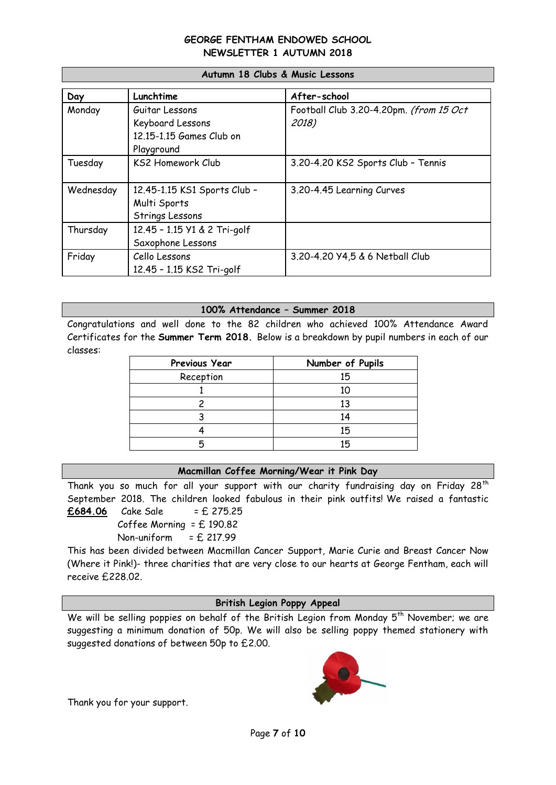| Day       | Lunchtime                    | After-school                            |
|-----------|------------------------------|-----------------------------------------|
| Monday    | Guitar Lessons               | Football Club 3.20-4.20pm. (from 15 Oct |
|           | Keyboard Lessons             | 2018)                                   |
|           | 12.15-1.15 Games Club on     |                                         |
|           | Playground                   |                                         |
| Tuesday   | <b>KS2 Homework Club</b>     | 3.20-4.20 KS2 Sports Club - Tennis      |
|           |                              |                                         |
| Wednesday | 12.45-1.15 KS1 Sports Club - | 3.20-4.45 Learning Curves               |
|           | Multi Sports                 |                                         |
|           | Strings Lessons              |                                         |
| Thursday  | 12.45 - 1.15 Y1 & 2 Tri-golf |                                         |
|           | Saxophone Lessons            |                                         |
| Friday    | Cello Lessons                | 3.20-4.20 Y4,5 & 6 Netball Club         |
|           | 12.45 - 1.15 KS2 Tri-golf    |                                         |

#### **Autumn 18 Clubs & Music Lessons**

### **100% Attendance – Summer 2018**

Congratulations and well done to the 82 children who achieved 100% Attendance Award Certificates for the **Summer Term 2018.** Below is a breakdown by pupil numbers in each of our classes:

| Previous Year | Number of Pupils |
|---------------|------------------|
| Reception     | 15               |
|               | 10               |
|               | 13               |
|               | 14               |
|               | 15               |
|               | 15               |

## **Macmillan Coffee Morning/Wear it Pink Day**

Thank you so much for all your support with our charity fundraising day on Friday 28<sup>th</sup> September 2018. The children looked fabulous in their pink outfits! We raised a fantastic **£684.06** Cake Sale = £ 275.25

Coffee Morning = £ 190.82

## Non-uniform  $=$  £ 217.99

This has been divided between Macmillan Cancer Support, Marie Curie and Breast Cancer Now (Where it Pink!)- three charities that are very close to our hearts at George Fentham, each will receive £228.02.

### **British Legion Poppy Appeal**

We will be selling poppies on behalf of the British Legion from Monday  $5<sup>th</sup>$  November; we are suggesting a minimum donation of 50p. We will also be selling poppy themed stationery with suggested donations of between 50p to £2.00.



Thank you for your support.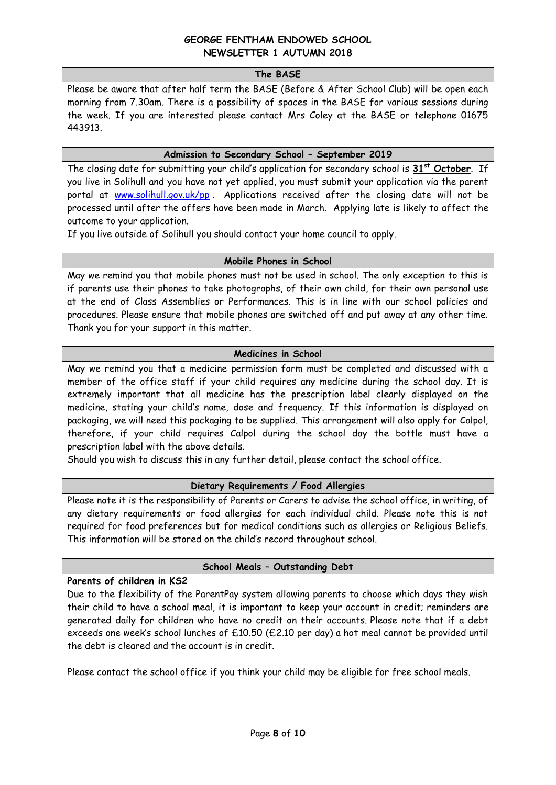#### **The BASE**

Please be aware that after half term the BASE (Before & After School Club) will be open each morning from 7.30am. There is a possibility of spaces in the BASE for various sessions during the week. If you are interested please contact Mrs Coley at the BASE or telephone 01675 443913.

### **Admission to Secondary School – September 2019**

The closing date for submitting your child's application for secondary school is **31st October**. If you live in Solihull and you have not yet applied, you must submit your application via the parent portal at [www.solihull.gov.uk/pp](http://www.solihull.gov.uk/pp) . Applications received after the closing date will not be processed until after the offers have been made in March. Applying late is likely to affect the outcome to your application.

If you live outside of Solihull you should contact your home council to apply.

### **Mobile Phones in School**

May we remind you that mobile phones must not be used in school. The only exception to this is if parents use their phones to take photographs, of their own child, for their own personal use at the end of Class Assemblies or Performances. This is in line with our school policies and procedures. Please ensure that mobile phones are switched off and put away at any other time. Thank you for your support in this matter.

### **Medicines in School**

May we remind you that a medicine permission form must be completed and discussed with a member of the office staff if your child requires any medicine during the school day. It is extremely important that all medicine has the prescription label clearly displayed on the medicine, stating your child's name, dose and frequency. If this information is displayed on packaging, we will need this packaging to be supplied. This arrangement will also apply for Calpol, therefore, if your child requires Calpol during the school day the bottle must have a prescription label with the above details.

Should you wish to discuss this in any further detail, please contact the school office.

### **Dietary Requirements / Food Allergies**

Please note it is the responsibility of Parents or Carers to advise the school office, in writing, of any dietary requirements or food allergies for each individual child. Please note this is not required for food preferences but for medical conditions such as allergies or Religious Beliefs. This information will be stored on the child's record throughout school.

## **School Meals – Outstanding Debt**

### **Parents of children in KS2**

Due to the flexibility of the ParentPay system allowing parents to choose which days they wish their child to have a school meal, it is important to keep your account in credit; reminders are generated daily for children who have no credit on their accounts. Please note that if a debt exceeds one week's school lunches of £10.50 (£2.10 per day) a hot meal cannot be provided until the debt is cleared and the account is in credit.

Please contact the school office if you think your child may be eligible for free school meals.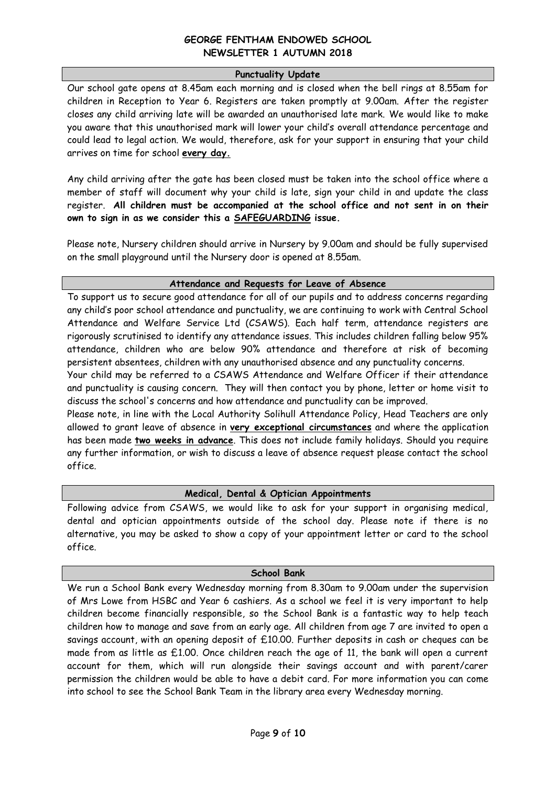### **Punctuality Update**

Our school gate opens at 8.45am each morning and is closed when the bell rings at 8.55am for children in Reception to Year 6. Registers are taken promptly at 9.00am. After the register closes any child arriving late will be awarded an unauthorised late mark. We would like to make you aware that this unauthorised mark will lower your child's overall attendance percentage and could lead to legal action. We would, therefore, ask for your support in ensuring that your child arrives on time for school **every day.** 

Any child arriving after the gate has been closed must be taken into the school office where a member of staff will document why your child is late, sign your child in and update the class register. **All children must be accompanied at the school office and not sent in on their own to sign in as we consider this a SAFEGUARDING issue.** 

Please note, Nursery children should arrive in Nursery by 9.00am and should be fully supervised on the small playground until the Nursery door is opened at 8.55am.

### **Attendance and Requests for Leave of Absence**

To support us to secure good attendance for all of our pupils and to address concerns regarding any child's poor school attendance and punctuality, we are continuing to work with Central School Attendance and Welfare Service Ltd (CSAWS). Each half term, attendance registers are rigorously scrutinised to identify any attendance issues. This includes children falling below 95% attendance, children who are below 90% attendance and therefore at risk of becoming persistent absentees, children with any unauthorised absence and any punctuality concerns.

Your child may be referred to a CSAWS Attendance and Welfare Officer if their attendance and punctuality is causing concern. They will then contact you by phone, letter or home visit to discuss the school's concerns and how attendance and punctuality can be improved.

Please note, in line with the Local Authority Solihull Attendance Policy, Head Teachers are only allowed to grant leave of absence in **very exceptional circumstances** and where the application has been made **two weeks in advance**. This does not include family holidays. Should you require any further information, or wish to discuss a leave of absence request please contact the school office.

## **Medical, Dental & Optician Appointments**

Following advice from CSAWS, we would like to ask for your support in organising medical, dental and optician appointments outside of the school day. Please note if there is no alternative, you may be asked to show a copy of your appointment letter or card to the school office.

### **School Bank**

We run a School Bank every Wednesday morning from 8.30am to 9.00am under the supervision of Mrs Lowe from HSBC and Year 6 cashiers. As a school we feel it is very important to help children become financially responsible, so the School Bank is a fantastic way to help teach children how to manage and save from an early age. All children from age 7 are invited to open a savings account, with an opening deposit of £10.00. Further deposits in cash or cheques can be made from as little as £1.00. Once children reach the age of 11, the bank will open a current account for them, which will run alongside their savings account and with parent/carer permission the children would be able to have a debit card. For more information you can come into school to see the School Bank Team in the library area every Wednesday morning.